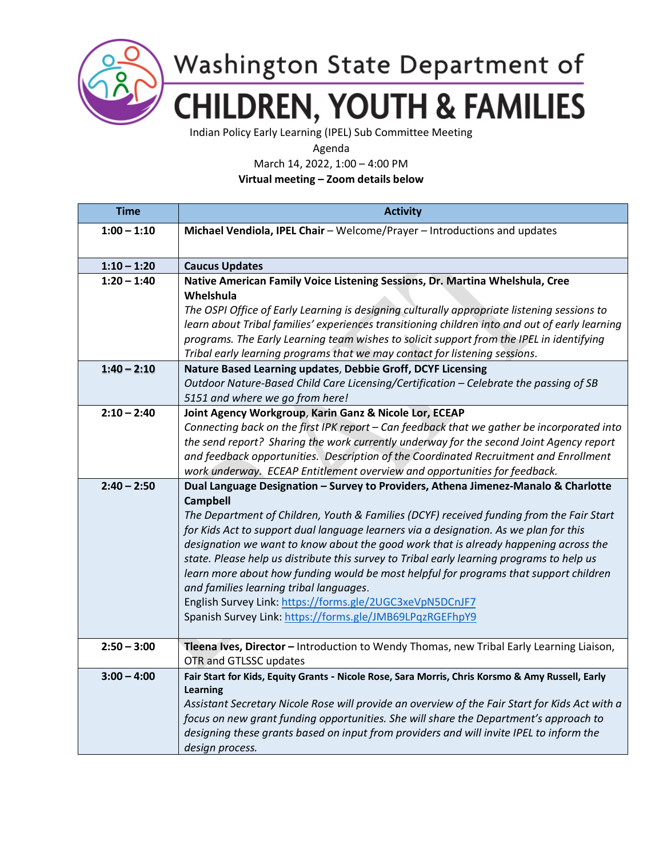

## Washington State Department of **CHILDREN, YOUTH & FAMILIES**

Indian Policy Early Learning (IPEL) Sub Committee Meeting

Agenda

March 14, 2022, 1:00 – 4:00 PM

**Virtual meeting – Zoom details below**

| <b>Time</b>   | <b>Activity</b>                                                                                       |
|---------------|-------------------------------------------------------------------------------------------------------|
| $1:00 - 1:10$ | Michael Vendiola, IPEL Chair - Welcome/Prayer - Introductions and updates                             |
|               |                                                                                                       |
| $1:10 - 1:20$ | <b>Caucus Updates</b>                                                                                 |
| $1:20 - 1:40$ | Native American Family Voice Listening Sessions, Dr. Martina Whelshula, Cree                          |
|               | Whelshula                                                                                             |
|               | The OSPI Office of Early Learning is designing culturally appropriate listening sessions to           |
|               | learn about Tribal families' experiences transitioning children into and out of early learning        |
|               | programs. The Early Learning team wishes to solicit support from the IPEL in identifying              |
|               | Tribal early learning programs that we may contact for listening sessions.                            |
| $1:40 - 2:10$ | Nature Based Learning updates, Debbie Groff, DCYF Licensing                                           |
|               | Outdoor Nature-Based Child Care Licensing/Certification - Celebrate the passing of SB                 |
|               | 5151 and where we go from here!                                                                       |
| $2:10 - 2:40$ | Joint Agency Workgroup, Karin Ganz & Nicole Lor, ECEAP                                                |
|               | Connecting back on the first IPK report - Can feedback that we gather be incorporated into            |
|               | the send report? Sharing the work currently underway for the second Joint Agency report               |
|               | and feedback opportunities. Description of the Coordinated Recruitment and Enrollment                 |
|               | work underway. ECEAP Entitlement overview and opportunities for feedback.                             |
| $2:40 - 2:50$ | Dual Language Designation - Survey to Providers, Athena Jimenez-Manalo & Charlotte<br><b>Campbell</b> |
|               | The Department of Children, Youth & Families (DCYF) received funding from the Fair Start              |
|               | for Kids Act to support dual language learners via a designation. As we plan for this                 |
|               | designation we want to know about the good work that is already happening across the                  |
|               | state. Please help us distribute this survey to Tribal early learning programs to help us             |
|               | learn more about how funding would be most helpful for programs that support children                 |
|               | and families learning tribal languages.                                                               |
|               | English Survey Link: https://forms.gle/2UGC3xeVpN5DCnJF7                                              |
|               | Spanish Survey Link: https://forms.gle/JMB69LPqzRGEFhpY9                                              |
|               |                                                                                                       |
| $2:50 - 3:00$ | Tleena Ives, Director - Introduction to Wendy Thomas, new Tribal Early Learning Liaison,              |
|               | OTR and GTLSSC updates                                                                                |
| $3:00 - 4:00$ | Fair Start for Kids, Equity Grants - Nicole Rose, Sara Morris, Chris Korsmo & Amy Russell, Early      |
|               | Learning                                                                                              |
|               | Assistant Secretary Nicole Rose will provide an overview of the Fair Start for Kids Act with a        |
|               | focus on new grant funding opportunities. She will share the Department's approach to                 |
|               | designing these grants based on input from providers and will invite IPEL to inform the               |
|               | design process.                                                                                       |